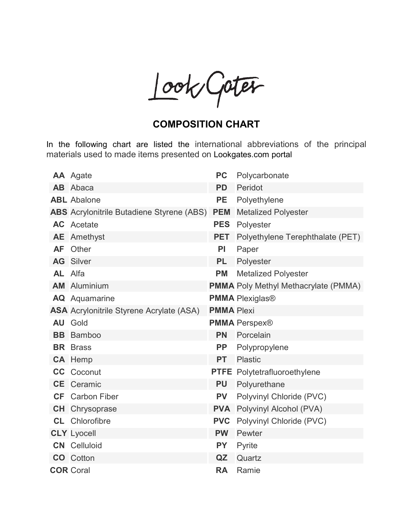Look/Gater

## **COMPOSITION CHART**

In the following chart are listed the international abbreviations of the principal materials used to made items presented on Lookgates.com portal

|                | <b>AA</b> Agate                                  | PC                | Polycarbonate                               |
|----------------|--------------------------------------------------|-------------------|---------------------------------------------|
|                | <b>AB</b> Abaca                                  | <b>PD</b>         | Peridot                                     |
|                | <b>ABL</b> Abalone                               | <b>PE</b>         | Polyethylene                                |
|                | <b>ABS</b> Acrylonitrile Butadiene Styrene (ABS) | <b>PEM</b>        | <b>Metalized Polyester</b>                  |
|                | <b>AC</b> Acetate                                | <b>PES</b>        | Polyester                                   |
| AE             | Amethyst                                         | <b>PET</b>        | Polyethylene Terephthalate (PET)            |
| <b>AF</b>      | Other                                            | <b>PI</b>         | Paper                                       |
|                | <b>AG</b> Silver                                 | <b>PL</b>         | Polyester                                   |
| <b>AL</b> Alfa |                                                  | <b>PM</b>         | <b>Metalized Polyester</b>                  |
| <b>AM</b>      | Aluminium                                        |                   | <b>PMMA</b> Poly Methyl Methacrylate (PMMA) |
|                | <b>AQ</b> Aquamarine                             |                   | <b>PMMA Plexiglas®</b>                      |
|                | <b>ASA</b> Acrylonitrile Styrene Acrylate (ASA)  | <b>PMMA Plexi</b> |                                             |
|                | <b>AU</b> Gold                                   |                   | <b>PMMA Perspex®</b>                        |
| <b>BB</b>      | <b>Bamboo</b>                                    | PN                | Porcelain                                   |
|                | <b>BR</b> Brass                                  | PP                | Polypropylene                               |
|                | CA Hemp                                          | <b>PT</b>         | Plastic                                     |
|                | <b>CC</b> Coconut                                |                   | <b>PTFE</b> Polytetrafluoroethylene         |
|                | <b>CE</b> Ceramic                                | <b>PU</b>         | Polyurethane                                |
|                | <b>CF</b> Carbon Fiber                           | <b>PV</b>         | Polyvinyl Chloride (PVC)                    |
|                | <b>CH</b> Chrysoprase                            |                   | <b>PVA</b> Polyvinyl Alcohol (PVA)          |
|                | <b>CL</b> Chlorofibre                            | <b>PVC</b>        | Polyvinyl Chloride (PVC)                    |
|                | <b>CLY</b> Lyocell                               | <b>PW</b>         | Pewter                                      |
|                | <b>CN</b> Celluloid                              | <b>PY</b>         | Pyrite                                      |
|                | <b>CO</b> Cotton                                 | QZ                | Quartz                                      |
|                | <b>COR Coral</b>                                 | <b>RA</b>         | Ramie                                       |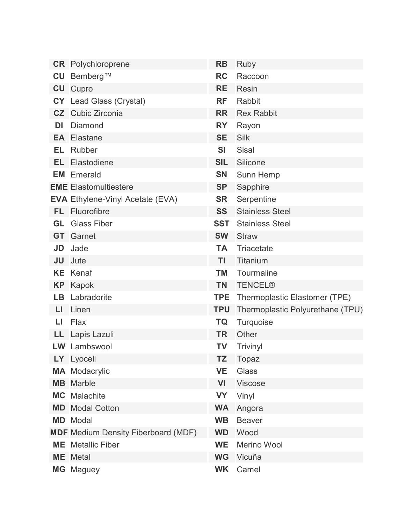|           | <b>CR</b> Polychloroprene                  | <b>RB</b>  | Ruby                             |
|-----------|--------------------------------------------|------------|----------------------------------|
| CU        | Bemberg™                                   | RC         | Raccoon                          |
|           | <b>CU</b> Cupro                            | RE         | Resin                            |
|           | CY Lead Glass (Crystal)                    | <b>RF</b>  | Rabbit                           |
|           | <b>CZ</b> Cubic Zirconia                   | <b>RR</b>  | <b>Rex Rabbit</b>                |
| DI        | Diamond                                    | RY         | Rayon                            |
|           | <b>EA</b> Elastane                         | <b>SE</b>  | Silk                             |
| EL        | Rubber                                     | <b>SI</b>  | Sisal                            |
| EL        | Elastodiene                                | <b>SIL</b> | Silicone                         |
|           | <b>EM</b> Emerald                          | <b>SN</b>  | Sunn Hemp                        |
|           | <b>EME</b> Elastomultiestere               | <b>SP</b>  | Sapphire                         |
|           | <b>EVA</b> Ethylene-Vinyl Acetate (EVA)    | SR         | Serpentine                       |
|           | FL Fluorofibre                             | <b>SS</b>  | <b>Stainless Steel</b>           |
| GL.       | <b>Glass Fiber</b>                         | <b>SST</b> | <b>Stainless Steel</b>           |
| GT        | Garnet                                     | <b>SW</b>  | <b>Straw</b>                     |
| JD        | Jade                                       | <b>TA</b>  | Triacetate                       |
| JU        | Jute                                       | ΤI         | Titanium                         |
| <b>KE</b> | Kenaf                                      | ТM         | Tourmaline                       |
| <b>KP</b> | Kapok                                      | <b>TN</b>  | <b>TENCEL®</b>                   |
| LB        | Labradorite                                | <b>TPE</b> | Thermoplastic Elastomer (TPE)    |
| LI        | Linen                                      | <b>TPU</b> | Thermoplastic Polyurethane (TPU) |
| Ы         | Flax                                       | TQ         | Turquoise                        |
| LL.       | Lapis Lazuli                               | <b>TR</b>  | Other                            |
|           | <b>LW</b> Lambswool                        | TV         | Trivinyl                         |
|           | LY Lyocell                                 | ΤZ         | Topaz                            |
|           | <b>MA</b> Modacrylic                       | <b>VE</b>  | Glass                            |
|           | <b>MB</b> Marble                           | VI         | Viscose                          |
|           | <b>MC</b> Malachite                        | <b>VY</b>  | Vinyl                            |
|           | <b>MD</b> Modal Cotton                     | <b>WA</b>  | Angora                           |
|           | <b>MD</b> Modal                            | <b>WB</b>  | <b>Beaver</b>                    |
|           | <b>MDF</b> Medium Density Fiberboard (MDF) | <b>WD</b>  | Wood                             |
|           | <b>ME</b> Metallic Fiber                   | <b>WE</b>  | Merino Wool                      |
|           | <b>ME</b> Metal                            | <b>WG</b>  | Vicuña                           |
|           | MG Maguey                                  | <b>WK</b>  | Camel                            |